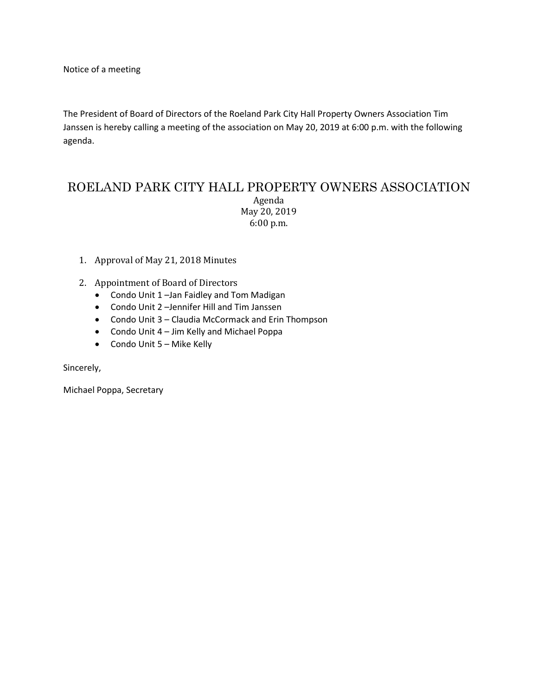Notice of a meeting

The President of Board of Directors of the Roeland Park City Hall Property Owners Association Tim Janssen is hereby calling a meeting of the association on May 20, 2019 at 6:00 p.m. with the following agenda.

## ROELAND PARK CITY HALL PROPERTY OWNERS ASSOCIATION Agenda May 20, 2019 6:00 p.m.

- 1. Approval of May 21, 2018 Minutes
- 2. Appointment of Board of Directors
	- Condo Unit 1 –Jan Faidley and Tom Madigan
	- Condo Unit 2 –Jennifer Hill and Tim Janssen
	- Condo Unit 3 Claudia McCormack and Erin Thompson
	- Condo Unit 4 Jim Kelly and Michael Poppa
	- Condo Unit 5 Mike Kelly

Sincerely,

Michael Poppa, Secretary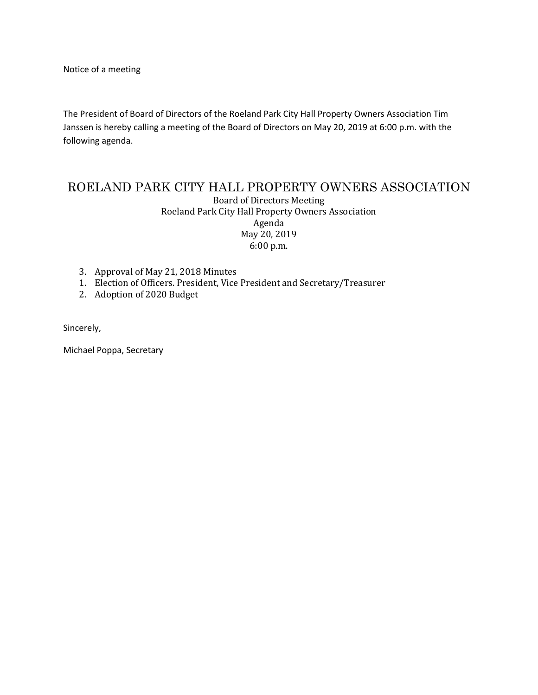Notice of a meeting

The President of Board of Directors of the Roeland Park City Hall Property Owners Association Tim Janssen is hereby calling a meeting of the Board of Directors on May 20, 2019 at 6:00 p.m. with the following agenda.

# ROELAND PARK CITY HALL PROPERTY OWNERS ASSOCIATION

Board of Directors Meeting Roeland Park City Hall Property Owners Association Agenda May 20, 2019 6:00 p.m.

- 3. Approval of May 21, 2018 Minutes
- 1. Election of Officers. President, Vice President and Secretary/Treasurer
- 2. Adoption of 2020 Budget

Sincerely,

Michael Poppa, Secretary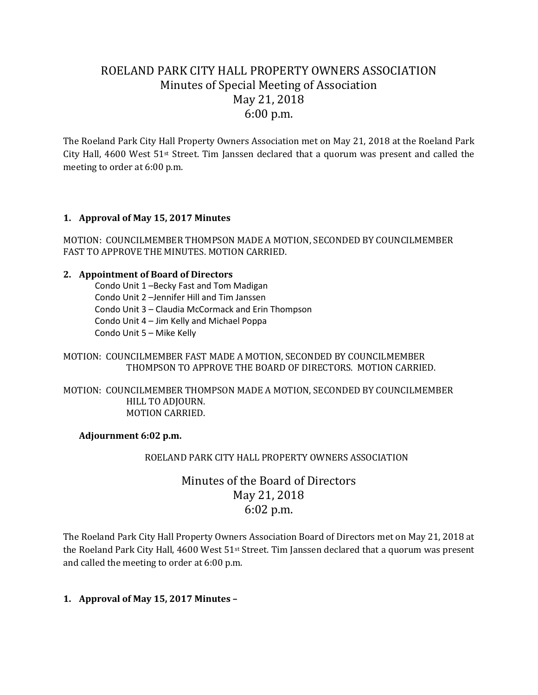# ROELAND PARK CITY HALL PROPERTY OWNERS ASSOCIATION Minutes of Special Meeting of Association May 21, 2018 6:00 p.m.

The Roeland Park City Hall Property Owners Association met on May 21, 2018 at the Roeland Park City Hall, 4600 West 51st Street. Tim Janssen declared that a quorum was present and called the meeting to order at 6:00 p.m.

## **1. Approval of May 15, 2017 Minutes**

MOTION: COUNCILMEMBER THOMPSON MADE A MOTION, SECONDED BY COUNCILMEMBER FAST TO APPROVE THE MINUTES. MOTION CARRIED.

#### **2. Appointment of Board of Directors**

Condo Unit 1 –Becky Fast and Tom Madigan Condo Unit 2 –Jennifer Hill and Tim Janssen Condo Unit 3 – Claudia McCormack and Erin Thompson Condo Unit 4 – Jim Kelly and Michael Poppa Condo Unit 5 – Mike Kelly

### MOTION: COUNCILMEMBER FAST MADE A MOTION, SECONDED BY COUNCILMEMBER THOMPSON TO APPROVE THE BOARD OF DIRECTORS. MOTION CARRIED.

#### MOTION: COUNCILMEMBER THOMPSON MADE A MOTION, SECONDED BY COUNCILMEMBER HILL TO ADJOURN. MOTION CARRIED.

### **Adjournment 6:02 p.m.**

### ROELAND PARK CITY HALL PROPERTY OWNERS ASSOCIATION

## Minutes of the Board of Directors May 21, 2018 6:02 p.m.

The Roeland Park City Hall Property Owners Association Board of Directors met on May 21, 2018 at the Roeland Park City Hall, 4600 West 51<sup>st</sup> Street. Tim Janssen declared that a quorum was present and called the meeting to order at 6:00 p.m.

### **1. Approval of May 15, 2017 Minutes –**